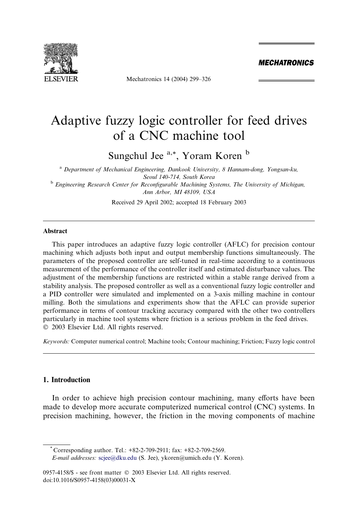**ELSEVIER** 

Mechatronics 14 (2004) 299–326

## **MECHATRONICS**

# Adaptive fuzzy logic controller for feed drives of a CNC machine tool

Sungchul Jee  $a,*$ , Yoram Koren  $b$ 

<sup>a</sup> Department of Mechanical Engineering, Dankook University, 8 Hannam-dong, Yongsan-ku, Seoul 140-714, South Korea

<sup>b</sup> Engineering Research Center for Reconfigurable Machining Systems, The University of Michigan, Ann Arbor, MI 48109, USA

Received 29 April 2002; accepted 18 February 2003

#### Abstract

This paper introduces an adaptive fuzzy logic controller (AFLC) for precision contour machining which adjusts both input and output membership functions simultaneously. The parameters of the proposed controller are self-tuned in real-time according to a continuous measurement of the performance of the controller itself and estimated disturbance values. The adjustment of the membership functions are restricted within a stable range derived from a stability analysis. The proposed controller as well as a conventional fuzzy logic controller and a PID controller were simulated and implemented on a 3-axis milling machine in contour milling. Both the simulations and experiments show that the AFLC can provide superior performance in terms of contour tracking accuracy compared with the other two controllers particularly in machine tool systems where friction is a serious problem in the feed drives. 2003 Elsevier Ltd. All rights reserved.

Keywords: Computer numerical control; Machine tools; Contour machining; Friction; Fuzzy logic control

## 1. Introduction

In order to achieve high precision contour machining, many efforts have been made to develop more accurate computerized numerical control (CNC) systems. In precision machining, however, the friction in the moving components of machine

Corresponding author. Tel.: +82-2-709-2911; fax: +82-2-709-2569.

E-mail addresses: [scjee@dku.edu](mail to: scjee@dku.edu) (S. Jee), ykoren@umich.edu (Y. Koren).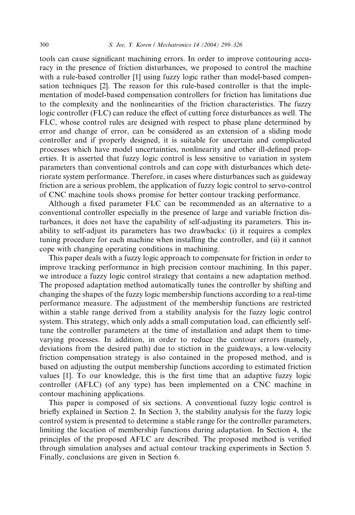tools can cause significant machining errors. In order to improve contouring accuracy in the presence of friction disturbances, we proposed to control the machine with a rule-based controller [1] using fuzzy logic rather than model-based compensation techniques [2]. The reason for this rule-based controller is that the implementation of model-based compensation controllers for friction has limitations due to the complexity and the nonlinearities of the friction characteristics. The fuzzy logic controller (FLC) can reduce the effect of cutting force disturbances as well. The FLC, whose control rules are designed with respect to phase plane determined by error and change of error, can be considered as an extension of a sliding mode controller and if properly designed, it is suitable for uncertain and complicated processes which have model uncertainties, nonlinearity and other ill-defined properties. It is asserted that fuzzy logic control is less sensitive to variation in system parameters than conventional controls and can cope with disturbances which deteriorate system performance. Therefore, in cases where disturbances such as guideway friction are a serious problem, the application of fuzzy logic control to servo-control of CNC machine tools shows promise for better contour tracking performance.

Although a fixed parameter FLC can be recommended as an alternative to a conventional controller especially in the presence of large and variable friction disturbances, it does not have the capability of self-adjusting its parameters. This inability to self-adjust its parameters has two drawbacks: (i) it requires a complex tuning procedure for each machine when installing the controller, and (ii) it cannot cope with changing operating conditions in machining.

This paper deals with a fuzzy logic approach to compensate for friction in order to improve tracking performance in high precision contour machining. In this paper, we introduce a fuzzy logic control strategy that contains a new adaptation method. The proposed adaptation method automatically tunes the controller by shifting and changing the shapes of the fuzzy logic membership functions according to a real-time performance measure. The adjustment of the membership functions are restricted within a stable range derived from a stability analysis for the fuzzy logic control system. This strategy, which only adds a small computation load, can efficiently selftune the controller parameters at the time of installation and adapt them to timevarying processes. In addition, in order to reduce the contour errors (namely, deviations from the desired path) due to stiction in the guideways, a low-velocity friction compensation strategy is also contained in the proposed method, and is based on adjusting the output membership functions according to estimated friction values [1]. To our knowledge, this is the first time that an adaptive fuzzy logic controller (AFLC) (of any type) has been implemented on a CNC machine in contour machining applications.

This paper is composed of six sections. A conventional fuzzy logic control is briefly explained in Section 2. In Section 3, the stability analysis for the fuzzy logic control system is presented to determine a stable range for the controller parameters, limiting the location of membership functions during adaptation. In Section 4, the principles of the proposed AFLC are described. The proposed method is verified through simulation analyses and actual contour tracking experiments in Section 5. Finally, conclusions are given in Section 6.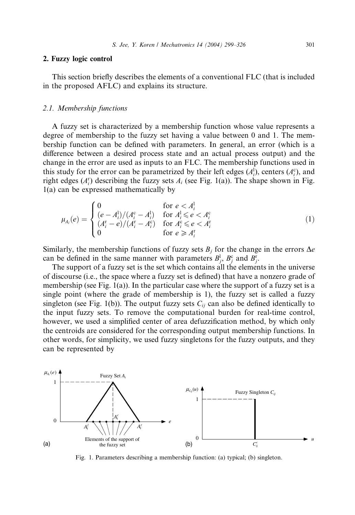#### 2. Fuzzy logic control

This section briefly describes the elements of a conventional FLC (that is included in the proposed AFLC) and explains its structure.

## 2.1. Membership functions

A fuzzy set is characterized by a membership function whose value represents a degree of membership to the fuzzy set having a value between 0 and 1. The membership function can be defined with parameters. In general, an error (which is a difference between a desired process state and an actual process output) and the change in the error are used as inputs to an FLC. The membership functions used in this study for the error can be parametrized by their left edges  $(A_i^l)$ , centers  $(A_i^c)$ , and right edges  $(A_i^r)$  describing the fuzzy sets  $A_i$  (see Fig. 1(a)). The shape shown in Fig. 1(a) can be expressed mathematically by

$$
\mu_{A_i}(e) = \begin{cases}\n0 & \text{for } e < A_i^1 \\
(e - A_i^1)/(A_i^c - A_i^1) & \text{for } A_i^1 \le e < A_i^c \\
(A_i^r - e)/(A_i^r - A_i^c) & \text{for } A_i^c \le e < A_i^r \\
0 & \text{for } e \ge A_i^r\n\end{cases}
$$
\n(1)

Similarly, the membership functions of fuzzy sets  $B_i$  for the change in the errors  $\Delta e$ can be defined in the same manner with parameters  $B_j^l$ ,  $B_j^c$  and  $B_j^r$ .

The support of a fuzzy set is the set which contains all the elements in the universe of discourse (i.e., the space where a fuzzy set is defined) that have a nonzero grade of membership (see Fig. 1(a)). In the particular case where the support of a fuzzy set is a single point (where the grade of membership is 1), the fuzzy set is called a fuzzy singleton (see Fig. 1(b)). The output fuzzy sets  $C_{ij}$  can also be defined identically to the input fuzzy sets. To remove the computational burden for real-time control, however, we used a simplified center of area defuzzification method, by which only the centroids are considered for the corresponding output membership functions. In other words, for simplicity, we used fuzzy singletons for the fuzzy outputs, and they can be represented by



Fig. 1. Parameters describing a membership function: (a) typical; (b) singleton.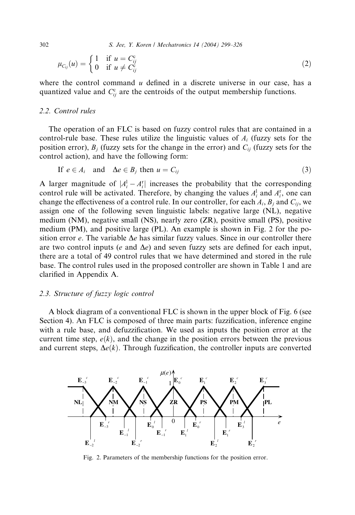302 S. Jee, Y. Koren / Mechatronics 14(2004) 299–326

$$
\mu_{C_{ij}}(u) = \begin{cases} 1 & \text{if } u = C_{ij}^c \\ 0 & \text{if } u \neq C_{ij}^c \end{cases} \tag{2}
$$

where the control command  $u$  defined in a discrete universe in our case, has a quantized value and  $C_{ij}^c$  are the centroids of the output membership functions.

## 2.2. Control rules

The operation of an FLC is based on fuzzy control rules that are contained in a control-rule base. These rules utilize the linguistic values of  $A_i$  (fuzzy sets for the position error),  $B_j$  (fuzzy sets for the change in the error) and  $C_{ij}$  (fuzzy sets for the control action), and have the following form:

$$
\text{If } e \in A_i \quad \text{and} \quad \Delta e \in B_j \text{ then } u = C_{ij} \tag{3}
$$

A larger magnitude of  $|A_i^{\text{I}} - A_i^{\text{r}}|$  increases the probability that the corresponding control rule will be activated. Therefore, by changing the values  $A_i^{\{t\}}$  and  $A_i^{\{r\}}$ , one can change the effectiveness of a control rule. In our controller, for each  $A_i$ ,  $B_i$  and  $C_{ii}$ , we assign one of the following seven linguistic labels: negative large (NL), negative medium (NM), negative small (NS), nearly zero (ZR), positive small (PS), positive medium (PM), and positive large (PL). An example is shown in Fig. 2 for the position error e. The variable  $\Delta e$  has similar fuzzy values. Since in our controller there are two control inputs (e and  $\Delta e$ ) and seven fuzzy sets are defined for each input, there are a total of 49 control rules that we have determined and stored in the rule base. The control rules used in the proposed controller are shown in Table 1 and are clarified in Appendix A.

## 2.3. Structure of fuzzy logic control

A block diagram of a conventional FLC is shown in the upper block of Fig. 6 (see Section 4). An FLC is composed of three main parts: fuzzification, inference engine with a rule base, and defuzzification. We used as inputs the position error at the current time step,  $e(k)$ , and the change in the position errors between the previous and current steps,  $\Delta e(k)$ . Through fuzzification, the controller inputs are converted



Fig. 2. Parameters of the membership functions for the position error.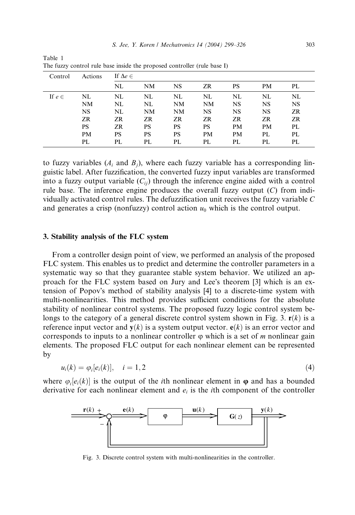| Control    | Actions   | If $\Delta e \in$ |           |           |           |           |           |           |
|------------|-----------|-------------------|-----------|-----------|-----------|-----------|-----------|-----------|
|            |           | NL                | NM        | <b>NS</b> | ZR        | <b>PS</b> | PM        | PL        |
| If $e \in$ | NL        | NL                | NL        | NL        | NL        | NL        | NL        | NL        |
|            | NM        | NL                | NL        | NM        | NM        | <b>NS</b> | <b>NS</b> | <b>NS</b> |
|            | <b>NS</b> | NL                | <b>NM</b> | NM        | <b>NS</b> | <b>NS</b> | <b>NS</b> | ZR        |
|            | ZR        | ZR                | ZR        | ZR        | ZR        | ZR        | ZR        | ZR        |
|            | PS        | ZR                | PS        | PS        | PS        | PM        | PM        | PL        |
|            | <b>PM</b> | PS                | PS        | <b>PS</b> | PM        | PM        | PL        | PL        |
|            | PL        | PL.               | PL        | PL        | PL        | PL        | PL        | PL        |

Table 1 The fuzzy control rule base inside the proposed controller (rule base I)

to fuzzy variables  $(A_i \text{ and } B_j)$ , where each fuzzy variable has a corresponding linguistic label. After fuzzification, the converted fuzzy input variables are transformed into a fuzzy output variable  $(C_{ij})$  through the inference engine aided with a control rule base. The inference engine produces the overall fuzzy output  $(C)$  from individually activated control rules. The defuzzification unit receives the fuzzy variable C and generates a crisp (nonfuzzy) control action  $u_0$  which is the control output.

## 3. Stability analysis of the FLC system

From a controller design point of view, we performed an analysis of the proposed FLC system. This enables us to predict and determine the controller parameters in a systematic way so that they guarantee stable system behavior. We utilized an approach for the FLC system based on Jury and Lee's theorem [3] which is an extension of Popovs method of stability analysis [4] to a discrete-time system with multi-nonlinearities. This method provides sufficient conditions for the absolute stability of nonlinear control systems. The proposed fuzzy logic control system belongs to the category of a general discrete control system shown in Fig. 3.  $r(k)$  is a reference input vector and  $y(k)$  is a system output vector.  $e(k)$  is an error vector and corresponds to inputs to a nonlinear controller  $\varphi$  which is a set of m nonlinear gain elements. The proposed FLC output for each nonlinear element can be represented by

$$
u_i(k) = \varphi_i[e_i(k)], \quad i = 1, 2 \tag{4}
$$

where  $\varphi_i[e_i(k)]$  is the output of the *i*th nonlinear element in  $\varphi$  and has a bounded derivative for each nonlinear element and  $e_i$  is the *i*th component of the controller



Fig. 3. Discrete control system with multi-nonlinearities in the controller.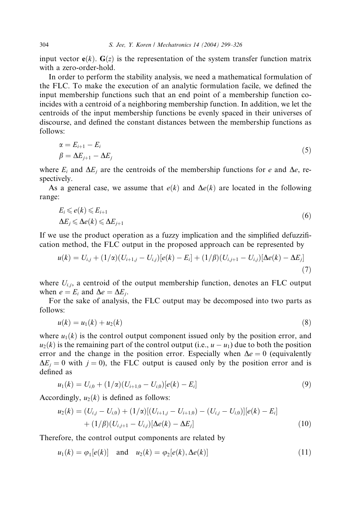input vector  $e(k)$ .  $G(z)$  is the representation of the system transfer function matrix with a zero-order-hold.

In order to perform the stability analysis, we need a mathematical formulation of the FLC. To make the execution of an analytic formulation facile, we defined the input membership functions such that an end point of a membership function coincides with a centroid of a neighboring membership function. In addition, we let the centroids of the input membership functions be evenly spaced in their universes of discourse, and defined the constant distances between the membership functions as follows:

$$
\alpha = E_{i+1} - E_i
$$
  
\n
$$
\beta = \Delta E_{j+1} - \Delta E_j
$$
\n(5)

where  $E_i$  and  $\Delta E_i$  are the centroids of the membership functions for e and  $\Delta e$ , respectively.

As a general case, we assume that  $e(k)$  and  $\Delta e(k)$  are located in the following range:

$$
E_i \le e(k) \le E_{i+1}
$$
  
\n
$$
\Delta E_j \le \Delta e(k) \le \Delta E_{j+1}
$$
\n(6)

If we use the product operation as a fuzzy implication and the simplified defuzzification method, the FLC output in the proposed approach can be represented by

$$
u(k) = U_{i,j} + (1/\alpha)(U_{i+1,j} - U_{i,j})[e(k) - E_i] + (1/\beta)(U_{i,j+1} - U_{i,j})[\Delta e(k) - \Delta E_j]
$$
\n(7)

where  $U_{i,j}$ , a centroid of the output membership function, denotes an FLC output when  $e = E_i$  and  $\Delta e = \Delta E_i$ .

For the sake of analysis, the FLC output may be decomposed into two parts as follows:

$$
u(k) = u_1(k) + u_2(k)
$$
\n(8)

where  $u_1(k)$  is the control output component issued only by the position error, and  $u_2(k)$  is the remaining part of the control output (i.e.,  $u - u_1$ ) due to both the position error and the change in the position error. Especially when  $\Delta e = 0$  (equivalently  $\Delta E_i = 0$  with  $i = 0$ ), the FLC output is caused only by the position error and is defined as

$$
u_1(k) = U_{i,0} + (1/\alpha)(U_{i+1,0} - U_{i,0})[e(k) - E_i]
$$
\n(9)

Accordingly,  $u_2(k)$  is defined as follows:

$$
u_2(k) = (U_{i,j} - U_{i,0}) + (1/\alpha)[(U_{i+1,j} - U_{i+1,0}) - (U_{i,j} - U_{i,0})][e(k) - E_i] + (1/\beta)(U_{i,j+1} - U_{i,j})[\Delta e(k) - \Delta E_j]
$$
(10)

Therefore, the control output components are related by

$$
u_1(k) = \varphi_1[e(k)]
$$
 and  $u_2(k) = \varphi_2[e(k), \Delta e(k)]$  (11)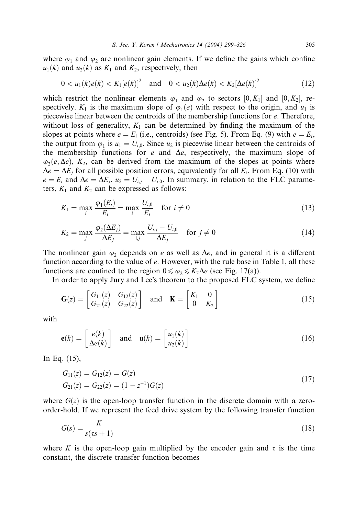where  $\varphi_1$  and  $\varphi_2$  are nonlinear gain elements. If we define the gains which confine  $u_1(k)$  and  $u_2(k)$  as  $K_1$  and  $K_2$ , respectively, then

$$
0 < u_1(k)e(k) < K_1[e(k)]^2 \quad \text{and} \quad 0 < u_2(k)\Delta e(k) < K_2[\Delta e(k)]^2 \tag{12}
$$

which restrict the nonlinear elements  $\varphi_1$  and  $\varphi_2$  to sectors  $[0, K_1]$  and  $[0, K_2]$ , respectively.  $K_1$  is the maximum slope of  $\varphi_1(e)$  with respect to the origin, and  $u_1$  is piecewise linear between the centroids of the membership functions for e. Therefore, without loss of generality,  $K_1$  can be determined by finding the maximum of the slopes at points where  $e = E_i$  (i.e., centroids) (see Fig. 5). From Eq. (9) with  $e = E_i$ , the output from  $\varphi_1$  is  $u_1 = U_{i,0}$ . Since  $u_2$  is piecewise linear between the centroids of the membership functions for e and  $\Delta e$ , respectively, the maximum slope of  $\varphi_2(e, \Delta e)$ , K<sub>2</sub>, can be derived from the maximum of the slopes at points where  $\Delta e = \Delta E_i$  for all possible position errors, equivalently for all  $E_i$ . From Eq. (10) with  $e = E_i$  and  $\Delta e = \Delta E_j$ ,  $u_2 = U_{i,j} - U_{i,0}$ . In summary, in relation to the FLC parameters,  $K_1$  and  $K_2$  can be expressed as follows:

$$
K_1 = \max_{i} \frac{\varphi_1(E_i)}{E_i} = \max_{i} \frac{U_{i,0}}{E_i} \quad \text{for } i \neq 0
$$
 (13)

$$
K_2 = \max_j \frac{\varphi_2(\Delta E_j)}{\Delta E_j} = \max_{i,j} \frac{U_{i,j} - U_{i,0}}{\Delta E_j} \quad \text{for } j \neq 0
$$
 (14)

The nonlinear gain  $\varphi_2$  depends on e as well as  $\Delta e$ , and in general it is a different function according to the value of  $e$ . However, with the rule base in Table 1, all these functions are confined to the region  $0 \le \varphi_2 \le K_2 \Delta e$  (see Fig. 17(a)).

In order to apply Jury and Lee's theorem to the proposed FLC system, we define

$$
\mathbf{G}(z) = \begin{bmatrix} G_{11}(z) & G_{12}(z) \\ G_{21}(z) & G_{22}(z) \end{bmatrix} \quad \text{and} \quad \mathbf{K} = \begin{bmatrix} K_1 & 0 \\ 0 & K_2 \end{bmatrix} \tag{15}
$$

with

$$
\mathbf{e}(k) = \begin{bmatrix} e(k) \\ \Delta e(k) \end{bmatrix} \text{ and } \mathbf{u}(k) = \begin{bmatrix} u_1(k) \\ u_2(k) \end{bmatrix}
$$
 (16)

In Eq. (15),

$$
G_{11}(z) = G_{12}(z) = G(z)
$$
  
\n
$$
G_{21}(z) = G_{22}(z) = (1 - z^{-1})G(z)
$$
\n(17)

where  $G(z)$  is the open-loop transfer function in the discrete domain with a zeroorder-hold. If we represent the feed drive system by the following transfer function

$$
G(s) = \frac{K}{s(\tau s + 1)}\tag{18}
$$

where K is the open-loop gain multiplied by the encoder gain and  $\tau$  is the time constant, the discrete transfer function becomes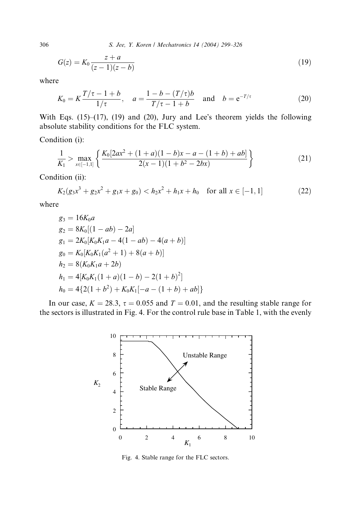306 S. Jee, Y. Koren / Mechatronics 14(2004) 299–326

$$
G(z) = K_0 \frac{z + a}{(z - 1)(z - b)}
$$
\n(19)

where

$$
K_0 = K \frac{T/\tau - 1 + b}{1/\tau}, \quad a = \frac{1 - b - (T/\tau)b}{T/\tau - 1 + b} \quad \text{and} \quad b = e^{-T/\tau}
$$
 (20)

With Eqs.  $(15)$ – $(17)$ ,  $(19)$  and  $(20)$ , Jury and Lee's theorem yields the following absolute stability conditions for the FLC system.

Condition (i):

$$
\frac{1}{K_1} > \max_{x \in [-1,1]} \left\{ \frac{K_0[2ax^2 + (1+a)(1-b)x - a - (1+b) + ab]}{2(x-1)(1+b^2-2bx)} \right\}
$$
(21)

Condition (ii):

$$
K_2(g_3x^3 + g_2x^2 + g_1x + g_0) < h_2x^2 + h_1x + h_0 \quad \text{for all } x \in [-1, 1] \tag{22}
$$

where

$$
g_3 = 16K_0a
$$
  
\n
$$
g_2 = 8K_0[(1 - ab) - 2a]
$$
  
\n
$$
g_1 = 2K_0[K_0K_1a - 4(1 - ab) - 4(a + b)]
$$
  
\n
$$
g_0 = K_0[K_0K_1(a^2 + 1) + 8(a + b)]
$$
  
\n
$$
h_2 = 8(K_0K_1a + 2b)
$$
  
\n
$$
h_1 = 4[K_0K_1(1 + a)(1 - b) - 2(1 + b)^2]
$$
  
\n
$$
h_0 = 4\{2(1 + b^2) + K_0K_1[-a - (1 + b) + ab]\}
$$

In our case,  $K = 28.3$ ,  $\tau = 0.055$  and  $T = 0.01$ , and the resulting stable range for the sectors is illustrated in Fig. 4. For the control rule base in Table 1, with the evenly



Fig. 4. Stable range for the FLC sectors.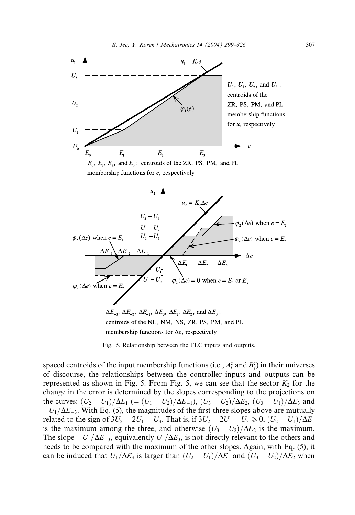

centroids of the NL, NM, NS, ZR, PS, PM, and PL membership functions for  $\Delta e$ , respectively

Fig. 5. Relationship between the FLC inputs and outputs.

spaced centroids of the input membership functions (i.e.,  $A_i^c$  and  $B_j^c$ ) in their universes of discourse, the relationships between the controller inputs and outputs can be represented as shown in Fig. 5. From Fig. 5, we can see that the sector  $K_2$  for the change in the error is determined by the slopes corresponding to the projections on the curves:  $(U_2 - U_1)/\Delta E_1$  (=  $(U_1 - U_2)/\Delta E_{-1}$ ),  $(U_3 - U_2)/\Delta E_2$ ,  $(U_3 - U_1)/\Delta E_3$  and  $-U_1/\Delta E_{-3}$ . With Eq. (5), the magnitudes of the first three slopes above are mutually related to the sign of  $3U_2 - 2U_1 - U_3$ . That is, if  $3U_2 - 2U_1 - U_3 \ge 0$ ,  $(U_2 - U_1)/\Delta E_1$ is the maximum among the three, and otherwise  $(U_3-U_2)/\Delta E_2$  is the maximum. The slope  $-U_1/\Delta E_{-3}$ , equivalently  $U_1/\Delta E_3$ , is not directly relevant to the others and needs to be compared with the maximum of the other slopes. Again, with Eq. (5), it can be induced that  $U_1/\Delta E_3$  is larger than  $(U_2 - U_1)/\Delta E_1$  and  $(U_3 - U_2)/\Delta E_2$  when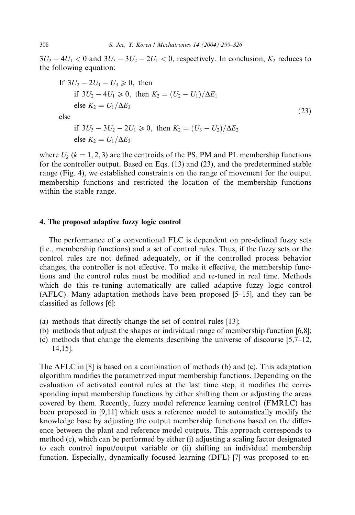$3U_2 - 4U_1 < 0$  and  $3U_3 - 3U_2 - 2U_1 < 0$ , respectively. In conclusion,  $K_2$  reduces to the following equation:

If 
$$
3U_2 - 2U_1 - U_3 \ge 0
$$
, then  
\nif  $3U_2 - 4U_1 \ge 0$ , then  $K_2 = (U_2 - U_1)/\Delta E_1$   
\nelse  $K_2 = U_1/\Delta E_3$   
\nif  $3U_3 - 3U_2 - 2U_1 \ge 0$ , then  $K_2 = (U_3 - U_2)/\Delta E_2$   
\nelse  $K_2 = U_1/\Delta E_3$  (23)

where  $U_k$  ( $k = 1, 2, 3$ ) are the centroids of the PS, PM and PL membership functions for the controller output. Based on Eqs. (13) and (23), and the predetermined stable range (Fig. 4), we established constraints on the range of movement for the output membership functions and restricted the location of the membership functions within the stable range.

## 4. The proposed adaptive fuzzy logic control

The performance of a conventional FLC is dependent on pre-defined fuzzy sets (i.e., membership functions) and a set of control rules. Thus, if the fuzzy sets or the control rules are not defined adequately, or if the controlled process behavior changes, the controller is not effective. To make it effective, the membership functions and the control rules must be modified and re-tuned in real time. Methods which do this re-tuning automatically are called adaptive fuzzy logic control (AFLC). Many adaptation methods have been proposed [5–15], and they can be classified as follows [6]:

- (a) methods that directly change the set of control rules [13];
- (b) methods that adjust the shapes or individual range of membership function [6,8];
- (c) methods that change the elements describing the universe of discourse  $[5,7-12,$ 14,15].

The AFLC in [8] is based on a combination of methods (b) and (c). This adaptation algorithm modifies the parametrized input membership functions. Depending on the evaluation of activated control rules at the last time step, it modifies the corresponding input membership functions by either shifting them or adjusting the areas covered by them. Recently, fuzzy model reference learning control (FMRLC) has been proposed in [9,11] which uses a reference model to automatically modify the knowledge base by adjusting the output membership functions based on the difference between the plant and reference model outputs. This approach corresponds to method (c), which can be performed by either (i) adjusting a scaling factor designated to each control input/output variable or (ii) shifting an individual membership function. Especially, dynamically focused learning (DFL) [7] was proposed to en-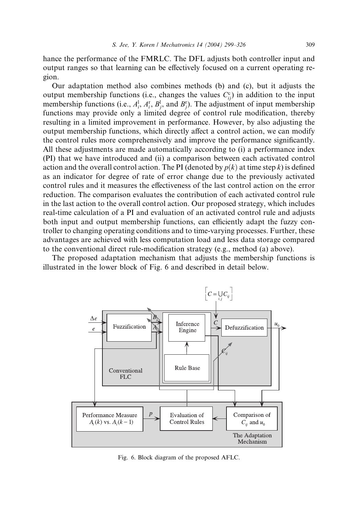hance the performance of the FMRLC. The DFL adjusts both controller input and output ranges so that learning can be effectively focused on a current operating region.

Our adaptation method also combines methods (b) and (c), but it adjusts the output membership functions (i.e., changes the values  $C_{ij}^c$ ) in addition to the input membership functions (i.e.,  $A_i^1$ ,  $A_i^r$ ,  $B_j^1$ , and  $B_j^r$ ). The adjustment of input membership functions may provide only a limited degree of control rule modification, thereby resulting in a limited improvement in performance. However, by also adjusting the output membership functions, which directly affect a control action, we can modify the control rules more comprehensively and improve the performance significantly. All these adjustments are made automatically according to (i) a performance index (PI) that we have introduced and (ii) a comparison between each activated control action and the overall control action. The PI (denoted by  $p(k)$  at time step k) is defined as an indicator for degree of rate of error change due to the previously activated control rules and it measures the effectiveness of the last control action on the error reduction. The comparison evaluates the contribution of each activated control rule in the last action to the overall control action. Our proposed strategy, which includes real-time calculation of a PI and evaluation of an activated control rule and adjusts both input and output membership functions, can efficiently adapt the fuzzy controller to changing operating conditions and to time-varying processes. Further, these advantages are achieved with less computation load and less data storage compared to the conventional direct rule-modification strategy (e.g., method (a) above).

The proposed adaptation mechanism that adjusts the membership functions is illustrated in the lower block of Fig. 6 and described in detail below.



Fig. 6. Block diagram of the proposed AFLC.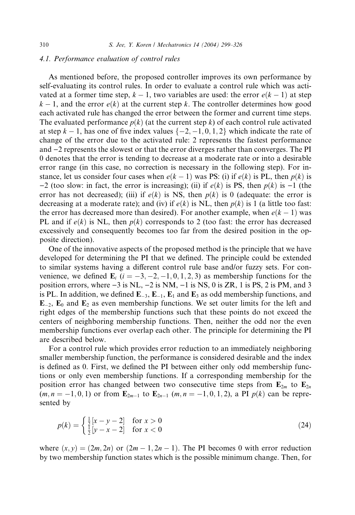#### 4.1. Performance evaluation of control rules

As mentioned before, the proposed controller improves its own performance by self-evaluating its control rules. In order to evaluate a control rule which was activated at a former time step,  $k - 1$ , two variables are used: the error  $e(k - 1)$  at step  $k-1$ , and the error  $e(k)$  at the current step k. The controller determines how good each activated rule has changed the error between the former and current time steps. The evaluated performance  $p(k)$  (at the current step k) of each control rule activated at step  $k - 1$ , has one of five index values  $\{-2, -1, 0, 1, 2\}$  which indicate the rate of change of the error due to the activated rule: 2 represents the fastest performance and  $-2$  represents the slowest or that the error diverges rather than converges. The PI 0 denotes that the error is tending to decrease at a moderate rate or into a desirable error range (in this case, no correction is necessary in the following step). For instance, let us consider four cases when  $e(k - 1)$  was PS: (i) if  $e(k)$  is PL, then  $p(k)$  is  $-2$  (too slow: in fact, the error is increasing); (ii) if  $e(k)$  is PS, then  $p(k)$  is  $-1$  (the error has not decreased); (iii) if  $e(k)$  is NS, then  $p(k)$  is 0 (adequate: the error is decreasing at a moderate rate); and (iv) if  $e(k)$  is NL, then  $p(k)$  is 1 (a little too fast: the error has decreased more than desired). For another example, when  $e(k - 1)$  was PL and if  $e(k)$  is NL, then  $p(k)$  corresponds to 2 (too fast: the error has decreased excessively and consequently becomes too far from the desired position in the opposite direction).

One of the innovative aspects of the proposed method is the principle that we have developed for determining the PI that we defined. The principle could be extended to similar systems having a different control rule base and/or fuzzy sets. For convenience, we defined  $\mathbf{E}_i$  ( $i = -3, -2, -1, 0, 1, 2, 3$ ) as membership functions for the position errors, where  $-3$  is NL,  $-2$  is NM,  $-1$  is NS, 0 is ZR, 1 is PS, 2 is PM, and 3 is PL. In addition, we defined  $\mathbf{E}_{-3}$ ,  $\mathbf{E}_{-1}$ ,  $\mathbf{E}_1$  and  $\mathbf{E}_3$  as odd membership functions, and  $E_{-2}$ ,  $E_0$  and  $E_2$  as even membership functions. We set outer limits for the left and right edges of the membership functions such that these points do not exceed the centers of neighboring membership functions. Then, neither the odd nor the even membership functions ever overlap each other. The principle for determining the PI are described below.

For a control rule which provides error reduction to an immediately neighboring smaller membership function, the performance is considered desirable and the index is defined as 0. First, we defined the PI between either only odd membership functions or only even membership functions. If a corresponding membership for the position error has changed between two consecutive time steps from  $\mathbf{E}_{2m}$  to  $\mathbf{E}_{2n}$  $(m, n = -1, 0, 1)$  or from  $\mathbf{E}_{2m-1}$  to  $\mathbf{E}_{2n-1}$   $(m, n = -1, 0, 1, 2)$ , a PI  $p(k)$  can be represented by

$$
p(k) = \begin{cases} \frac{1}{2} [x - y - 2] & \text{for } x > 0\\ \frac{1}{2} [y - x - 2] & \text{for } x < 0 \end{cases}
$$
 (24)

where  $(x, y) = (2m, 2n)$  or  $(2m - 1, 2n - 1)$ . The PI becomes 0 with error reduction by two membership function states which is the possible minimum change. Then, for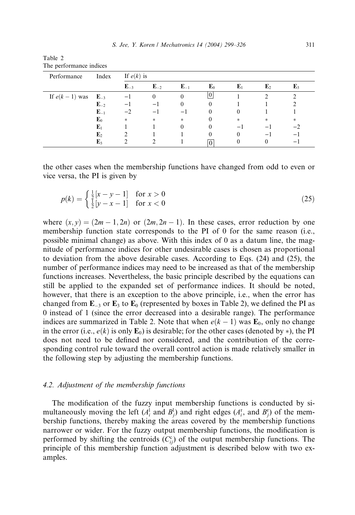| Performance     | Index       | If $e(k)$ is |                          |          |              |             |                  |        |
|-----------------|-------------|--------------|--------------------------|----------|--------------|-------------|------------------|--------|
|                 |             | $E_{-3}$     | $E_{-2}$                 | $E_{-1}$ | ${\bf E}_0$  | ${\bf E}_1$ | $\mathbf{E}_{2}$ | Ŀ،     |
| If $e(k-1)$ was | $E_{-3}$    | $-1$         |                          | 0        |              |             |                  |        |
|                 | $E_{-2}$    | $-1$         | $\overline{\phantom{0}}$ | 0        | $\theta$     |             |                  |        |
|                 | $E_{-1}$    |              |                          |          | $\theta$     | 0           |                  |        |
|                 | ${\bf E}_0$ | $\ast$       | $\ast$                   | $\ast$   |              | $\ast$      | $\ast$           | $\ast$ |
|                 | E1          |              |                          | 0        | 0            |             |                  |        |
|                 | $E_{2}$     |              |                          |          |              |             |                  |        |
|                 |             |              |                          |          | $\mathbf{0}$ |             |                  |        |

| Table 2 |                         |  |
|---------|-------------------------|--|
|         | The performance indices |  |

the other cases when the membership functions have changed from odd to even or vice versa, the PI is given by

$$
p(k) = \begin{cases} \frac{1}{2} [x - y - 1] & \text{for } x > 0\\ \frac{1}{2} [y - x - 1] & \text{for } x < 0 \end{cases}
$$
 (25)

where  $(x, y) = (2m - 1, 2n)$  or  $(2m, 2n - 1)$ . In these cases, error reduction by one membership function state corresponds to the PI of 0 for the same reason (i.e., possible minimal change) as above. With this index of 0 as a datum line, the magnitude of performance indices for other undesirable cases is chosen as proportional to deviation from the above desirable cases. According to Eqs. (24) and (25), the number of performance indices may need to be increased as that of the membership functions increases. Nevertheless, the basic principle described by the equations can still be applied to the expanded set of performance indices. It should be noted, however, that there is an exception to the above principle, i.e., when the error has changed from  $\mathbf{E}_{-3}$  or  $\mathbf{E}_3$  to  $\mathbf{E}_0$  (represented by boxes in Table 2), we defined the PI as 0 instead of 1 (since the error decreased into a desirable range). The performance indices are summarized in Table 2. Note that when  $e(k - 1)$  was  $\mathbf{E}_0$ , only no change in the error (i.e.,  $e(k)$  is only  $\mathbf{E}_0$ ) is desirable; for the other cases (denoted by \*), the PI does not need to be defined nor considered, and the contribution of the corresponding control rule toward the overall control action is made relatively smaller in the following step by adjusting the membership functions.

## 4.2. Adjustment of the membership functions

The modification of the fuzzy input membership functions is conducted by simultaneously moving the left  $(A_i^1$  and  $B_j^1$ ) and right edges  $(A_i^r,$  and  $B_j^r)$  of the membership functions, thereby making the areas covered by the membership functions narrower or wider. For the fuzzy output membership functions, the modification is performed by shifting the centroids  $(C_{ij}^c)$  of the output membership functions. The principle of this membership function adjustment is described below with two examples.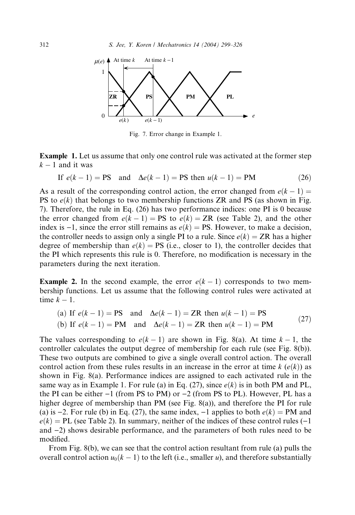

Fig. 7. Error change in Example 1.

Example 1. Let us assume that only one control rule was activated at the former step  $k - 1$  and it was

If 
$$
e(k-1) = PS
$$
 and  $\Delta e(k-1) = PS$  then  $u(k-1) = PM$  (26)

As a result of the corresponding control action, the error changed from  $e(k - 1) =$ PS to  $e(k)$  that belongs to two membership functions ZR and PS (as shown in Fig. 7). Therefore, the rule in Eq. (26) has two performance indices: one PI is 0 because the error changed from  $e(k - 1) = PS$  to  $e(k) = ZR$  (see Table 2), and the other index is  $-1$ , since the error still remains as  $e(k)$  = PS. However, to make a decision, the controller needs to assign only a single PI to a rule. Since  $e(k) = \mathbb{Z}R$  has a higher degree of membership than  $e(k)$  = PS (i.e., closer to 1), the controller decides that the PI which represents this rule is 0. Therefore, no modification is necessary in the parameters during the next iteration.

**Example 2.** In the second example, the error  $e(k-1)$  corresponds to two membership functions. Let us assume that the following control rules were activated at time  $k - 1$ .

(a) If 
$$
e(k-1) = PS
$$
 and  $\Delta e(k-1) = ZR$  then  $u(k-1) = PS$   
\n(b) If  $e(k-1) = PM$  and  $\Delta e(k-1) = ZR$  then  $u(k-1) = PM$  (27)

The values corresponding to  $e(k - 1)$  are shown in Fig. 8(a). At time  $k - 1$ , the controller calculates the output degree of membership for each rule (see Fig. 8(b)). These two outputs are combined to give a single overall control action. The overall control action from these rules results in an increase in the error at time  $k(e(k))$  as shown in Fig. 8(a). Performance indices are assigned to each activated rule in the same way as in Example 1. For rule (a) in Eq. (27), since  $e(k)$  is in both PM and PL, the PI can be either  $-1$  (from PS to PM) or  $-2$  (from PS to PL). However, PL has a higher degree of membership than PM (see Fig. 8(a)), and therefore the PI for rule (a) is -2. For rule (b) in Eq. (27), the same index, -1 applies to both  $e(k)$  = PM and  $e(k) = PL$  (see Table 2). In summary, neither of the indices of these control rules (-1) and  $-2$ ) shows desirable performance, and the parameters of both rules need to be modified.

From Fig. 8(b), we can see that the control action resultant from rule (a) pulls the overall control action  $u_0(k - 1)$  to the left (i.e., smaller u), and therefore substantially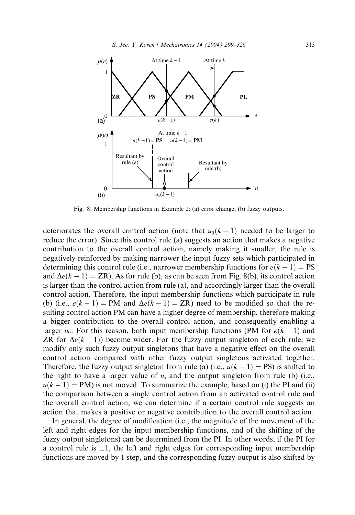

Fig. 8. Membership functions in Example 2: (a) error change; (b) fuzzy outputs.

deteriorates the overall control action (note that  $u_0(k-1)$ ) needed to be larger to reduce the error). Since this control rule (a) suggests an action that makes a negative contribution to the overall control action, namely making it smaller, the rule is negatively reinforced by making narrower the input fuzzy sets which participated in determining this control rule (i.e., narrower membership functions for  $e(k - 1) = PS$ and  $\Delta e(k - 1) = \mathbb{Z}R$ ). As for rule (b), as can be seen from Fig. 8(b), its control action is larger than the control action from rule (a), and accordingly larger than the overall control action. Therefore, the input membership functions which participate in rule (b) (i.e.,  $e(k-1) = PM$  and  $\Delta e(k-1) = ZR$ ) need to be modified so that the resulting control action PM can have a higher degree of membership, therefore making a bigger contribution to the overall control action, and consequently enabling a larger  $u_0$ . For this reason, both input membership functions (PM for  $e(k-1)$ ) and ZR for  $\Delta e(k - 1)$ ) become wider. For the fuzzy output singleton of each rule, we modify only such fuzzy output singletons that have a negative effect on the overall control action compared with other fuzzy output singletons activated together. Therefore, the fuzzy output singleton from rule (a) (i.e.,  $u(k - 1) = PS$ ) is shifted to the right to have a larger value of  $u$ , and the output singleton from rule (b) (i.e.,  $u(k - 1) = PM$ ) is not moved. To summarize the example, based on (i) the PI and (ii) the comparison between a single control action from an activated control rule and the overall control action, we can determine if a certain control rule suggests an action that makes a positive or negative contribution to the overall control action.

In general, the degree of modification (i.e., the magnitude of the movement of the left and right edges for the input membership functions, and of the shifting of the fuzzy output singletons) can be determined from the PI. In other words, if the PI for a control rule is  $\pm 1$ , the left and right edges for corresponding input membership functions are moved by 1 step, and the corresponding fuzzy output is also shifted by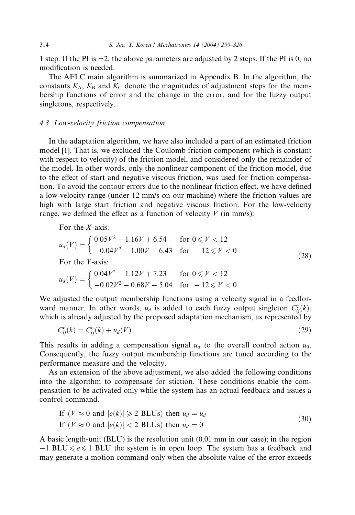1 step. If the PI is  $\pm 2$ , the above parameters are adjusted by 2 steps. If the PI is 0, no modification is needed.

The AFLC main algorithm is summarized in Appendix B. In the algorithm, the constants  $K_A$ ,  $K_B$  and  $K_C$  denote the magnitudes of adjustment steps for the membership functions of error and the change in the error, and for the fuzzy output singletons, respectively.

#### 4.3. Low-velocity friction compensation

In the adaptation algorithm, we have also included a part of an estimated friction model [1]. That is, we excluded the Coulomb friction component (which is constant with respect to velocity) of the friction model, and considered only the remainder of the model. In other words, only the nonlinear component of the friction model, due to the effect of start and negative viscous friction, was used for friction compensation. To avoid the contour errors due to the nonlinear friction effect, we have defined a low-velocity range (under 12mm/s on our machine) where the friction values are high with large start friction and negative viscous friction. For the low-velocity range, we defined the effect as a function of velocity  $V$  (in mm/s):

For the  $X$ -axis:

$$
u_d(V) = \begin{cases} 0.05V^2 - 1.16V + 6.54 & \text{for } 0 \le V < 12\\ -0.04V^2 - 1.00V - 6.43 & \text{for } -12 \le V < 0 \end{cases}
$$
 (28)

$$
u_d(V) = \begin{cases} 0.04V^2 - 1.12V + 7.23 & \text{for } 0 \le V < 12\\ -0.02V^2 - 0.68V - 5.04 & \text{for } -12 \le V < 0 \end{cases}
$$

We adjusted the output membership functions using a velocity signal in a feedforward manner. In other words,  $u_d$  is added to each fuzzy output singleton  $C_{ij}^c(k)$ , which is already adjusted by the proposed adaptation mechanism, as represented by

$$
C_{ij}^{\rm c}(k) = C_{ij}^{\rm c}(k) + u_d(V) \tag{29}
$$

This results in adding a compensation signal  $u_d$  to the overall control action  $u_0$ . Consequently, the fuzzy output membership functions are tuned according to the performance measure and the velocity.

As an extension of the above adjustment, we also added the following conditions into the algorithm to compensate for stiction. These conditions enable the compensation to be activated only while the system has an actual feedback and issues a control command.

If 
$$
(V \approx 0 \text{ and } |e(k)| \ge 2 \text{ BLUs})
$$
 then  $u_d = u_d$   
If  $(V \approx 0 \text{ and } |e(k)| < 2 \text{ BLUs})$  then  $u_d = 0$  (30)

A basic length-unit (BLU) is the resolution unit (0.01 mm in our case); in the region  $-1$  BLU  $\leq e \leq 1$  BLU the system is in open loop. The system has a feedback and may generate a motion command only when the absolute value of the error exceeds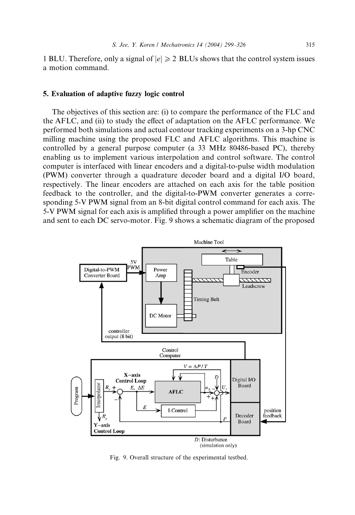1 BLU. Therefore, only a signal of  $|e| \geq 2$  BLUs shows that the control system issues a motion command.

## 5. Evaluation of adaptive fuzzy logic control

The objectives of this section are: (i) to compare the performance of the FLC and the AFLC, and (ii) to study the effect of adaptation on the AFLC performance. We performed both simulations and actual contour tracking experiments on a 3-hp CNC milling machine using the proposed FLC and AFLC algorithms. This machine is controlled by a general purpose computer (a 33 MHz 80486-based PC), thereby enabling us to implement various interpolation and control software. The control computer is interfaced with linear encoders and a digital-to-pulse width modulation (PWM) converter through a quadrature decoder board and a digital I/O board, respectively. The linear encoders are attached on each axis for the table position feedback to the controller, and the digital-to-PWM converter generates a corresponding 5-V PWM signal from an 8-bit digital control command for each axis. The 5-V PWM signal for each axis is amplified through a power amplifier on the machine and sent to each DC servo-motor. Fig. 9 shows a schematic diagram of the proposed



Fig. 9. Overall structure of the experimental testbed.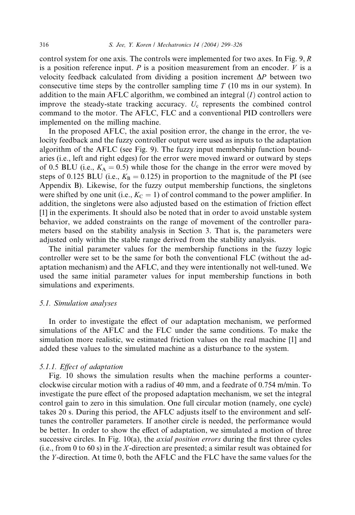control system for one axis. The controls were implemented for two axes. In Fig. 9, R is a position reference input. P is a position measurement from an encoder.  $V$  is a velocity feedback calculated from dividing a position increment  $\Delta P$  between two consecutive time steps by the controller sampling time  $T$  (10 ms in our system). In addition to the main AFLC algorithm, we combined an integral  $(I)$  control action to improve the steady-state tracking accuracy.  $U_c$  represents the combined control command to the motor. The AFLC, FLC and a conventional PID controllers were implemented on the milling machine.

In the proposed AFLC, the axial position error, the change in the error, the velocity feedback and the fuzzy controller output were used as inputs to the adaptation algorithm of the AFLC (see Fig. 9). The fuzzy input membership function boundaries (i.e., left and right edges) for the error were moved inward or outward by steps of 0.5 BLU (i.e.,  $K_A = 0.5$ ) while those for the change in the error were moved by steps of 0.125 BLU (i.e.,  $K_B = 0.125$ ) in proportion to the magnitude of the PI (see Appendix B). Likewise, for the fuzzy output membership functions, the singletons were shifted by one unit (i.e.,  $K<sub>C</sub> = 1$ ) of control command to the power amplifier. In addition, the singletons were also adjusted based on the estimation of friction effect [1] in the experiments. It should also be noted that in order to avoid unstable system behavior, we added constraints on the range of movement of the controller parameters based on the stability analysis in Section 3. That is, the parameters were adjusted only within the stable range derived from the stability analysis.

The initial parameter values for the membership functions in the fuzzy logic controller were set to be the same for both the conventional FLC (without the adaptation mechanism) and the AFLC, and they were intentionally not well-tuned. We used the same initial parameter values for input membership functions in both simulations and experiments.

#### 5.1. Simulation analyses

In order to investigate the effect of our adaptation mechanism, we performed simulations of the AFLC and the FLC under the same conditions. To make the simulation more realistic, we estimated friction values on the real machine [1] and added these values to the simulated machine as a disturbance to the system.

## 5.1.1. Effect of adaptation

Fig. 10 shows the simulation results when the machine performs a counterclockwise circular motion with a radius of 40 mm, and a feedrate of 0.754 m/min. To investigate the pure effect of the proposed adaptation mechanism, we set the integral control gain to zero in this simulation. One full circular motion (namely, one cycle) takes 20 s. During this period, the AFLC adjusts itself to the environment and selftunes the controller parameters. If another circle is needed, the performance would be better. In order to show the effect of adaptation, we simulated a motion of three successive circles. In Fig. 10(a), the *axial position errors* during the first three cycles  $(i.e., from 0 to 60 s)$  in the X-direction are presented; a similar result was obtained for the Y -direction. At time 0, both the AFLC and the FLC have the same values for the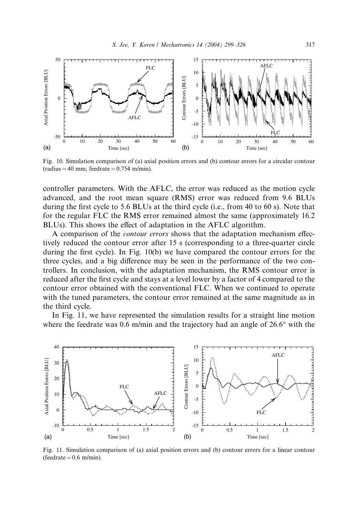

Fig. 10. Simulation comparison of (a) axial position errors and (b) contour errors for a circular contour  $(radius = 40 mm; feedrate = 0.754 m/min).$ 

controller parameters. With the AFLC, the error was reduced as the motion cycle advanced, and the root mean square (RMS) error was reduced from 9.6 BLUs during the first cycle to 5.6 BLUs at the third cycle (i.e., from 40 to 60 s). Note that for the regular FLC the RMS error remained almost the same (approximately 16.2 BLUs). This shows the effect of adaptation in the AFLC algorithm.

A comparison of the *contour errors* shows that the adaptation mechanism effectively reduced the contour error after 15 s (corresponding to a three-quarter circle during the first cycle). In Fig. 10(b) we have compared the contour errors for the three cycles, and a big difference may be seen in the performance of the two controllers. In conclusion, with the adaptation mechanism, the RMS contour error is reduced after the first cycle and stays at a level lower by a factor of 4 compared to the contour error obtained with the conventional FLC. When we continued to operate with the tuned parameters, the contour error remained at the same magnitude as in the third cycle.

In Fig. 11, we have represented the simulation results for a straight line motion where the feedrate was 0.6 m/min and the trajectory had an angle of  $26.6^{\circ}$  with the



Fig. 11. Simulation comparison of (a) axial position errors and (b) contour errors for a linear contour (feedrate  $= 0.6$  m/min).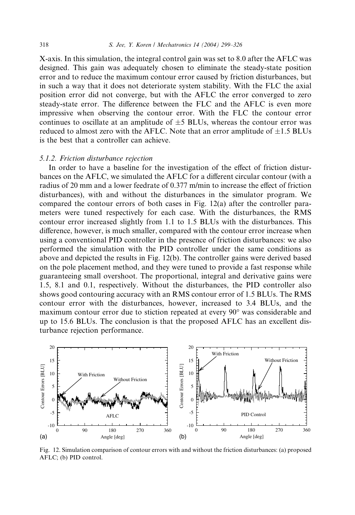X-axis. In this simulation, the integral control gain was set to 8.0 after the AFLC was designed. This gain was adequately chosen to eliminate the steady-state position error and to reduce the maximum contour error caused by friction disturbances, but in such a way that it does not deteriorate system stability. With the FLC the axial position error did not converge, but with the AFLC the error converged to zero steady-state error. The difference between the FLC and the AFLC is even more impressive when observing the contour error. With the FLC the contour error continues to oscillate at an amplitude of  $\pm$ 5 BLUs, whereas the contour error was reduced to almost zero with the AFLC. Note that an error amplitude of  $\pm 1.5$  BLUs is the best that a controller can achieve.

#### 5.1.2. Friction disturbance rejection

In order to have a baseline for the investigation of the effect of friction disturbances on the AFLC, we simulated the AFLC for a different circular contour (with a radius of 20 mm and a lower feedrate of 0.377 m/min to increase the effect of friction disturbances), with and without the disturbances in the simulator program. We compared the contour errors of both cases in Fig. 12(a) after the controller parameters were tuned respectively for each case. With the disturbances, the RMS contour error increased slightly from 1.1 to 1.5 BLUs with the disturbances. This difference, however, is much smaller, compared with the contour error increase when using a conventional PID controller in the presence of friction disturbances: we also performed the simulation with the PID controller under the same conditions as above and depicted the results in Fig. 12(b). The controller gains were derived based on the pole placement method, and they were tuned to provide a fast response while guaranteeing small overshoot. The proportional, integral and derivative gains were 1.5, 8.1 and 0.1, respectively. Without the disturbances, the PID controller also shows good contouring accuracy with an RMS contour error of 1.5 BLUs. The RMS contour error with the disturbances, however, increased to 3.4 BLUs, and the maximum contour error due to stiction repeated at every 90° was considerable and up to 15.6 BLUs. The conclusion is that the proposed AFLC has an excellent disturbance rejection performance.



Fig. 12. Simulation comparison of contour errors with and without the friction disturbances: (a) proposed AFLC; (b) PID control.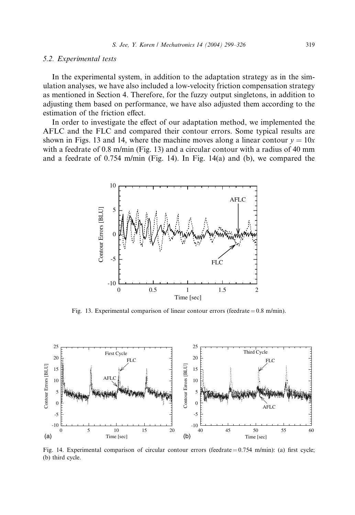#### 5.2. Experimental tests

In the experimental system, in addition to the adaptation strategy as in the simulation analyses, we have also included a low-velocity friction compensation strategy as mentioned in Section 4. Therefore, for the fuzzy output singletons, in addition to adjusting them based on performance, we have also adjusted them according to the estimation of the friction effect.

In order to investigate the effect of our adaptation method, we implemented the AFLC and the FLC and compared their contour errors. Some typical results are shown in Figs. 13 and 14, where the machine moves along a linear contour  $y = 10x$ with a feedrate of 0.8 m/min (Fig. 13) and a circular contour with a radius of 40 mm and a feedrate of  $0.754$  m/min (Fig. 14). In Fig. 14(a) and (b), we compared the



Fig. 13. Experimental comparison of linear contour errors (feedrate  $= 0.8$  m/min).



Fig. 14. Experimental comparison of circular contour errors (feedrate  $= 0.754$  m/min): (a) first cycle; (b) third cycle.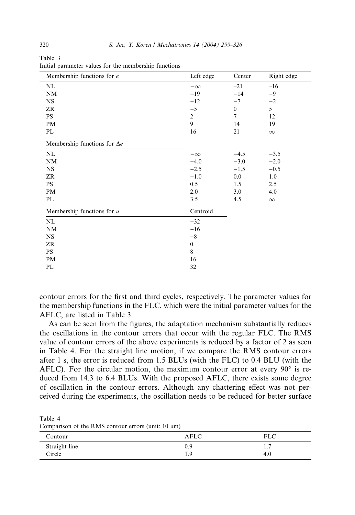| Membership functions for e          | Left edge      | Center         | Right edge |
|-------------------------------------|----------------|----------------|------------|
| $\rm NL$                            | $-\infty$      | $-21$          | $-16$      |
| NM                                  | $-19$          | $-14$          | $-9$       |
| <b>NS</b>                           | $-12$          | $-7$           | $-2$       |
| ZR                                  | $-5$           | $\mathbf{0}$   | 5          |
| <b>PS</b>                           | $\overline{2}$ | $\overline{7}$ | 12         |
| PM                                  | 9              | 14             | 19         |
| PL                                  | 16             | 21             | $\infty$   |
| Membership functions for $\Delta e$ |                |                |            |
| NL                                  | $-\infty$      | $-4.5$         | $-3.5$     |
| NM                                  | $-4.0$         | $-3.0$         | $-2.0$     |
| <b>NS</b>                           | $-2.5$         | $-1.5$         | $-0.5$     |
| ZR                                  | $-1.0$         | 0.0            | 1.0        |
| <b>PS</b>                           | 0.5            | 1.5            | 2.5        |
| PM                                  | 2.0            | 3.0            | 4.0        |
| PL                                  | 3.5            | 4.5            | $\infty$   |
| Membership functions for $u$        | Centroid       |                |            |
| NL                                  | $-32$          |                |            |
| NM                                  | $-16$          |                |            |
| <b>NS</b>                           | $-8$           |                |            |
| ZR                                  | $\mathbf{0}$   |                |            |
| PS                                  | 8              |                |            |
| PM                                  | 16             |                |            |
| PL                                  | 32             |                |            |

Table 3 Initial parameter values for the membership functions

contour errors for the first and third cycles, respectively. The parameter values for the membership functions in the FLC, which were the initial parameter values for the AFLC, are listed in Table 3.

As can be seen from the figures, the adaptation mechanism substantially reduces the oscillations in the contour errors that occur with the regular FLC. The RMS value of contour errors of the above experiments is reduced by a factor of 2as seen in Table 4. For the straight line motion, if we compare the RMS contour errors after 1 s, the error is reduced from 1.5 BLUs (with the FLC) to 0.4 BLU (with the AFLC). For the circular motion, the maximum contour error at every  $90^{\circ}$  is reduced from 14.3 to 6.4 BLUs. With the proposed AFLC, there exists some degree of oscillation in the contour errors. Although any chattering effect was not perceived during the experiments, the oscillation needs to be reduced for better surface

Table 4 Comparison of the RMS contour errors (unit: 10 um)

| Contour       | AFLC         | <b>FLC</b>     |
|---------------|--------------|----------------|
| Straight line | 0.9          | $\mathbf{1}$ . |
| Circle        | $\alpha$<br> | 4.0            |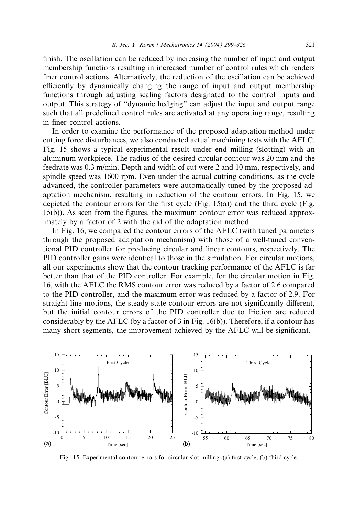finish. The oscillation can be reduced by increasing the number of input and output membership functions resulting in increased number of control rules which renders finer control actions. Alternatively, the reduction of the oscillation can be achieved efficiently by dynamically changing the range of input and output membership functions through adjusting scaling factors designated to the control inputs and output. This strategy of ''dynamic hedging'' can adjust the input and output range such that all predefined control rules are activated at any operating range, resulting in finer control actions.

In order to examine the performance of the proposed adaptation method under cutting force disturbances, we also conducted actual machining tests with the AFLC. Fig. 15 shows a typical experimental result under end milling (slotting) with an aluminum workpiece. The radius of the desired circular contour was 20 mm and the feedrate was 0.3 m/min. Depth and width of cut were 2and 10 mm, respectively, and spindle speed was 1600 rpm. Even under the actual cutting conditions, as the cycle advanced, the controller parameters were automatically tuned by the proposed adaptation mechanism, resulting in reduction of the contour errors. In Fig. 15, we depicted the contour errors for the first cycle  $(Fig. 15(a))$  and the third cycle  $(Fig. 15(a))$ 15(b)). As seen from the figures, the maximum contour error was reduced approximately by a factor of 2 with the aid of the adaptation method.

In Fig. 16, we compared the contour errors of the AFLC (with tuned parameters through the proposed adaptation mechanism) with those of a well-tuned conventional PID controller for producing circular and linear contours, respectively. The PID controller gains were identical to those in the simulation. For circular motions, all our experiments show that the contour tracking performance of the AFLC is far better than that of the PID controller. For example, for the circular motion in Fig. 16, with the AFLC the RMS contour error was reduced by a factor of 2.6 compared to the PID controller, and the maximum error was reduced by a factor of 2.9. For straight line motions, the steady-state contour errors are not significantly different, but the initial contour errors of the PID controller due to friction are reduced considerably by the AFLC (by a factor of 3 in Fig. 16(b)). Therefore, if a contour has many short segments, the improvement achieved by the AFLC will be significant.



Fig. 15. Experimental contour errors for circular slot milling: (a) first cycle; (b) third cycle.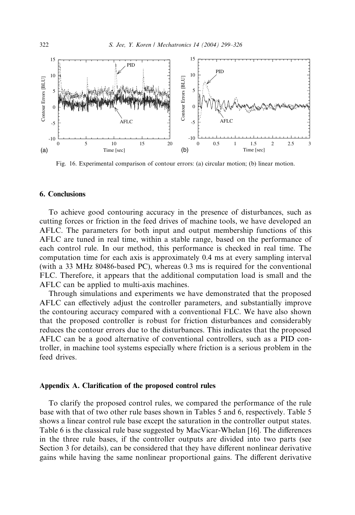

Fig. 16. Experimental comparison of contour errors: (a) circular motion; (b) linear motion.

## 6. Conclusions

To achieve good contouring accuracy in the presence of disturbances, such as cutting forces or friction in the feed drives of machine tools, we have developed an AFLC. The parameters for both input and output membership functions of this AFLC are tuned in real time, within a stable range, based on the performance of each control rule. In our method, this performance is checked in real time. The computation time for each axis is approximately 0.4 ms at every sampling interval (with a 33 MHz 80486-based PC), whereas 0.3 ms is required for the conventional FLC. Therefore, it appears that the additional computation load is small and the AFLC can be applied to multi-axis machines.

Through simulations and experiments we have demonstrated that the proposed AFLC can effectively adjust the controller parameters, and substantially improve the contouring accuracy compared with a conventional FLC. We have also shown that the proposed controller is robust for friction disturbances and considerably reduces the contour errors due to the disturbances. This indicates that the proposed AFLC can be a good alternative of conventional controllers, such as a PID controller, in machine tool systems especially where friction is a serious problem in the feed drives.

## Appendix A. Clarification of the proposed control rules

To clarify the proposed control rules, we compared the performance of the rule base with that of two other rule bases shown in Tables 5 and 6, respectively. Table 5 shows a linear control rule base except the saturation in the controller output states. Table 6 is the classical rule base suggested by MacVicar-Whelan [16]. The differences in the three rule bases, if the controller outputs are divided into two parts (see Section 3 for details), can be considered that they have different nonlinear derivative gains while having the same nonlinear proportional gains. The different derivative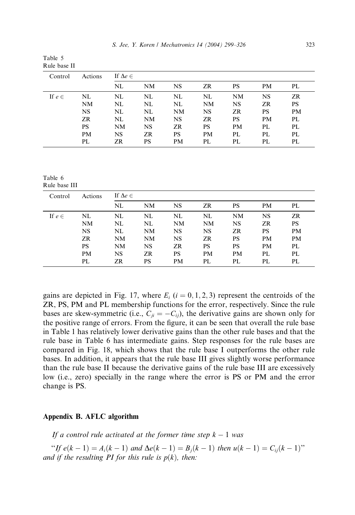| Table 5      |  |
|--------------|--|
| Rule base II |  |

| Control    | Actions | If $\Delta e \in$ |           |           |           |           |           |           |
|------------|---------|-------------------|-----------|-----------|-----------|-----------|-----------|-----------|
|            |         | NL                | NM        | <b>NS</b> | ZR.       | PS        | PM        | PL        |
| If $e \in$ | NL      | NL                | NL        | NL        | NL        | NM        | <b>NS</b> | ZR        |
|            | NM      | NL                | NL        | NL        | NM        | <b>NS</b> | ZR        | PS        |
|            | NS      | NL                | NL        | NM        | <b>NS</b> | ZR        | <b>PS</b> | <b>PM</b> |
|            | ZR      | NL                | NM        | <b>NS</b> | ZR        | PS        | PM        | PL        |
|            | PS      | NM                | <b>NS</b> | ZR        | PS        | PM        | PL        | PL        |
|            | PM      | NS                | ZR        | PS        | <b>PM</b> | PL        | PL        | PL        |
|            | PL      | ZR                | PS        | PM        | PL        | PL        | PL        | PL        |

Table 6 Rule base III

| Control    | Actions | If $\Delta e \in$ |    |           |           |           |           |           |
|------------|---------|-------------------|----|-----------|-----------|-----------|-----------|-----------|
|            |         | NL                | NM | <b>NS</b> | ZR        | PS        | PM        | PL        |
| If $e \in$ | NL      | NL                | NL | NL        | NL        | NM        | <b>NS</b> | ZR        |
|            | NM      | NL                | NL | <b>NM</b> | NM        | <b>NS</b> | ZR        | PS        |
|            | NS      | NL                | NM | <b>NS</b> | <b>NS</b> | ZR        | PS        | <b>PM</b> |
|            | ZR      | NΜ                | NM | <b>NS</b> | ZR        | PS        | PM        | PM        |
|            | PS      | NΜ                | NS | ZR        | PS        | PS        | PM        | PL        |
|            | PM      | NS                | ZR | PS        | <b>PM</b> | <b>PM</b> | PL        | PL        |
|            | PL      | ZR                | PS | PM        | PL.       | PL        | PL        | PL        |

gains are depicted in Fig. 17, where  $E_i$  (i = 0, 1, 2, 3) represent the centroids of the ZR, PS, PM and PL membership functions for the error, respectively. Since the rule bases are skew-symmetric (i.e.,  $C_{ji} = -C_{ij}$ ), the derivative gains are shown only for the positive range of errors. From the figure, it can be seen that overall the rule base in Table 1 has relatively lower derivative gains than the other rule bases and that the rule base in Table 6 has intermediate gains. Step responses for the rule bases are compared in Fig. 18, which shows that the rule base I outperforms the other rule bases. In addition, it appears that the rule base III gives slightly worse performance than the rule base II because the derivative gains of the rule base III are excessively low (i.e., zero) specially in the range where the error is PS or PM and the error change is PS.

#### Appendix B. AFLC algorithm

If a control rule activated at the former time step  $k - 1$  was

"If  $e(k-1) = A_i(k-1)$  and  $\Delta e(k-1) = B_j(k-1)$  then  $u(k-1) = C_{ij}(k-1)$ " and if the resulting PI for this rule is  $p(k)$ , then: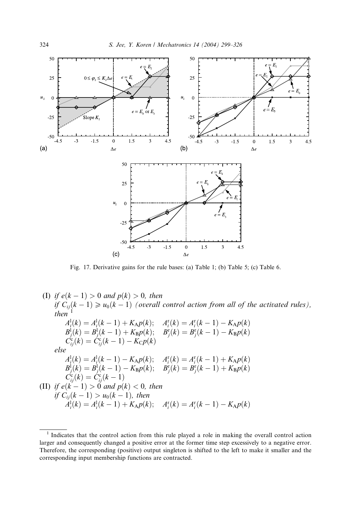

Fig. 17. Derivative gains for the rule bases: (a) Table 1; (b) Table 5; (c) Table 6.

(I) if  $e(k - 1) > 0$  and  $p(k) > 0$ , then if  $C_{ij}(k-1) \ge u_0(k-1)$  (overall control action from all of the activated rules), then  $A_i^1(k) = A_i^1(k-1) + K_A p(k);$   $A_i^r(k) = A_i^r(k-1) - K_A p(k)$  $B_j^{\rm l}(k) = B_j^{\rm l}(k-1) + K_{\rm B}p(k); \quad B_j^{\rm r}(k) = B_j^{\rm r}(k-1) - K_{\rm B}p(k)$  $\check{C}_{ij}^{\rm c}(k) = \check{C}_{ij}^{\rm c}(k-1) - K_{\rm C}p(k)$ else  $A_i^1(k) = A_i^1(k-1) - K_A p(k);$   $A_i^r(k) = A_i^r(k-1) + K_A p(k)$  $B_j^{\rm l}(k) = B_j^{\rm l}(k-1) - K_{\rm B}p(k); \quad B_j^{\rm r}(k) = B_j^{\rm r}(k-1) + K_{\rm B}p(k)$  $\check{C}_{ij}^{\rm c}(k) = \check{C}_{ij}^{\rm c}(k-1)$ (II) if  $e(k-1) > 0$  and  $p(k) < 0$ , then if  $C_{ii}(k-1) > u_0(k-1)$ , then  $A_i^1(k) = A_i^1(k-1) + K_A p(k);$   $A_i^r(k) = A_i^r(k-1) - K_A p(k)$ 

 $1$  Indicates that the control action from this rule played a role in making the overall control action larger and consequently changed a positive error at the former time step excessively to a negative error. Therefore, the corresponding (positive) output singleton is shifted to the left to make it smaller and the corresponding input membership functions are contracted.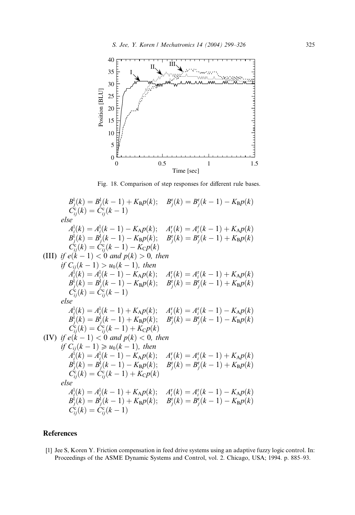

Fig. 18. Comparison of step responses for different rule bases.

$$
B_j^1(k) = B_j^1(k-1) + K_B p(k); \t B_j^r(k) = B_j^r(k-1) - K_B p(k)
$$
  
\n
$$
C_{ij}^c(k) = C_{ij}^c(k-1)
$$
  
\nelse  
\n
$$
A_i^1(k) = A_i^1(k-1) - K_A p(k); \t A_i^r(k) = A_i^r(k-1) + K_A p(k)
$$
  
\n
$$
B_j^1(k) = B_j^1(k-1) - K_B p(k); \t B_j^r(k) = B_j^r(k-1) + K_B p(k)
$$
  
\n
$$
C_{ij}^r(k) = C_{ij}^c(k-1) - K_C p(k)
$$
  
\n(III) if  $e(k-1) < 0$  and  $p(k) > 0$ , then  
\nif  $C_{ij}(k-1) > u_0(k-1)$ , then  
\n
$$
A_i^1(k) = A_i^1(k-1) - K_A p(k); \t A_i^r(k) = A_i^r(k-1) + K_A p(k)
$$
  
\n
$$
B_j^1(k) = B_j^1(k-1) - K_B p(k); \t B_j^r(k) = B_j^r(k-1) + K_B p(k)
$$
  
\n
$$
C_{ij}^r(k) = C_{ij}^c(k-1)
$$
  
\nelse  
\n
$$
A_i^1(k) = A_i^1(k-1) + K_A p(k); \t A_i^r(k) = A_i^r(k-1) - K_A p(k)
$$
  
\n
$$
B_j^1(k) = B_j^1(k-1) + K_C p(k)
$$
  
\n(IV) if  $e(k-1) < 0$  and  $p(k) < 0$ , then  
\nif  $C_{ij}(k) = C_{ij}^c(k-1) - K_A p(k); \t B_j^r(k) = B_j^r(k-1) + K_A p(k)$   
\n
$$
B_j^1(k) = B_j^1(k-1) - K_A p(k); \t B_j^r(k) = B_j^r(k-1) + K_A p(k)
$$
  
\n
$$
B_j^r(k) = B_j^r(k-1) + K_C p(k); \t B_j^r(k) = B_j^r(k-1) + K_B p(k)
$$
  
\nelse  
\n
$$
A_i^1(k) = A_i^1(k-1) + K_A p(k); \t B_j^r(k) = B_j^r
$$

## References

[1] Jee S, Koren Y. Friction compensation in feed drive systems using an adaptive fuzzy logic control. In: Proceedings of the ASME Dynamic Systems and Control, vol. 2. Chicago, USA; 1994. p. 885–93.